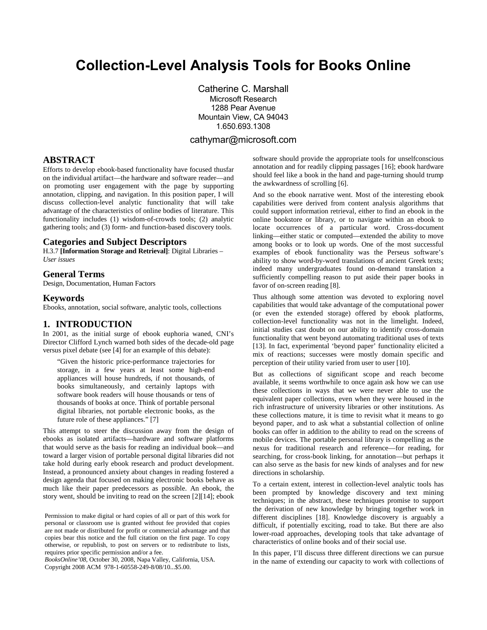# **Collection-Level Analysis Tools for Books Online**

Catherine C. Marshall Microsoft Research 1288 Pear Avenue Mountain View, CA 94043 1.650.693.1308

cathymar@microsoft.com

### **ABSTRACT**

Efforts to develop ebook-based functionality have focused thusfar on the individual artifact—the hardware and software reader—and on promoting user engagement with the page by supporting annotation, clipping, and navigation. In this position paper, I will discuss collection-level analytic functionality that will take advantage of the characteristics of online bodies of literature. This functionality includes (1) wisdom-of-crowds tools; (2) analytic gathering tools; and (3) form- and function-based discovery tools.

### **Categories and Subject Descriptors**

H.3.7 **[Information Storage and Retrieval]**: Digital Libraries – *User issues* 

### **General Terms**

Design, Documentation, Human Factors

#### **Keywords**

Ebooks, annotation, social software, analytic tools, collections

### **1. INTRODUCTION**

In 2001, as the initial surge of ebook euphoria waned, CNI's Director Clifford Lynch warned both sides of the decade-old page versus pixel debate (see [4] for an example of this debate):

"Given the historic price-performance trajectories for storage, in a few years at least some high-end appliances will house hundreds, if not thousands, of books simultaneously, and certainly laptops with software book readers will house thousands or tens of thousands of books at once. Think of portable personal digital libraries, not portable electronic books, as the future role of these appliances." [7]

This attempt to steer the discussion away from the design of ebooks as isolated artifacts—hardware and software platforms that would serve as the basis for reading an individual book—and toward a larger vision of portable personal digital libraries did not take hold during early ebook research and product development. Instead, a pronounced anxiety about changes in reading fostered a design agenda that focused on making electronic books behave as much like their paper predecessors as possible. An ebook, the story went, should be inviting to read on the screen [2][14]; ebook

*BooksOnline'08,* October 30, 2008, Napa Valley, California, USA. Copyright 2008 ACM 978-1-60558-249-8/08/10...\$5.00.

software should provide the appropriate tools for unselfconscious annotation and for readily clipping passages [16]; ebook hardware should feel like a book in the hand and page-turning should trump the awkwardness of scrolling [6].

And so the ebook narrative went. Most of the interesting ebook capabilities were derived from content analysis algorithms that could support information retrieval, either to find an ebook in the online bookstore or library, or to navigate within an ebook to locate occurrences of a particular word. Cross-document linking—either static or computed—extended the ability to move among books or to look up words. One of the most successful examples of ebook functionality was the Perseus software's ability to show word-by-word translations of ancient Greek texts; indeed many undergraduates found on-demand translation a sufficiently compelling reason to put aside their paper books in favor of on-screen reading [8].

Thus although some attention was devoted to exploring novel capabilities that would take advantage of the computational power (or even the extended storage) offered by ebook platforms, collection-level functionality was not in the limelight. Indeed, initial studies cast doubt on our ability to identify cross-domain functionality that went beyond automating traditional uses of texts [13]. In fact, experimental 'beyond paper' functionality elicited a mix of reactions; successes were mostly domain specific and perception of their utility varied from user to user [10].

But as collections of significant scope and reach become available, it seems worthwhile to once again ask how we can use these collections in ways that we were never able to use the equivalent paper collections, even when they were housed in the rich infrastructure of university libraries or other institutions. As these collections mature, it is time to revisit what it means to go beyond paper, and to ask what a substantial collection of online books can offer in addition to the ability to read on the screens of mobile devices. The portable personal library is compelling as the nexus for traditional research and reference—for reading, for searching, for cross-book linking, for annotation—but perhaps it can also serve as the basis for new kinds of analyses and for new directions in scholarship.

To a certain extent, interest in collection-level analytic tools has been prompted by knowledge discovery and text mining techniques; in the abstract, these techniques promise to support the derivation of new knowledge by bringing together work in different disciplines [18]. Knowledge discovery is arguably a difficult, if potentially exciting, road to take. But there are also lower-road approaches, developing tools that take advantage of characteristics of online books and of their social use.

In this paper, I'll discuss three different directions we can pursue in the name of extending our capacity to work with collections of

Permission to make digital or hard copies of all or part of this work for personal or classroom use is granted without fee provided that copies are not made or distributed for profit or commercial advantage and that copies bear this notice and the full citation on the first page. To copy otherwise, or republish, to post on servers or to redistribute to lists, requires prior specific permission and/or a fee.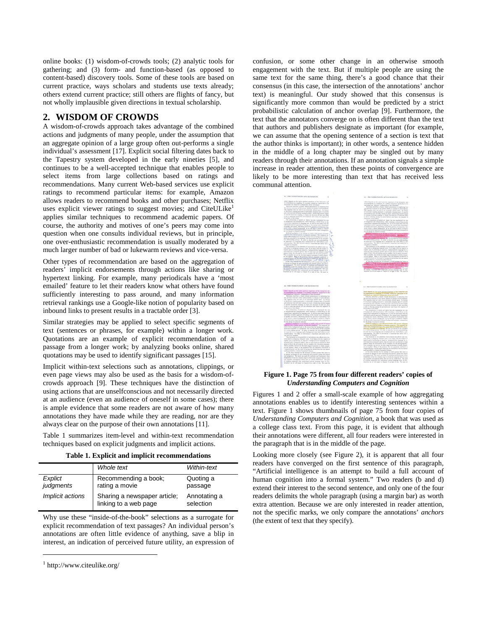online books: (1) wisdom-of-crowds tools; (2) analytic tools for gathering; and (3) form- and function-based (as opposed to content-based) discovery tools. Some of these tools are based on current practice, ways scholars and students use texts already; others extend current practice; still others are flights of fancy, but not wholly implausible given directions in textual scholarship.

# **2. WISDOM OF CROWDS**

A wisdom-of-crowds approach takes advantage of the combined actions and judgments of many people, under the assumption that an aggregate opinion of a large group often out-performs a single individual's assessment [17]. Explicit social filtering dates back to the Tapestry system developed in the early nineties [5], and continues to be a well-accepted technique that enables people to select items from large collections based on ratings and recommendations. Many current Web-based services use explicit ratings to recommend particular items: for example, Amazon allows readers to recommend books and other purchases; Netflix uses explicit viewer ratings to suggest movies; and CiteULike<sup>1</sup> applies similar techniques to recommend academic papers. Of course, the authority and motives of one's peers may come into question when one consults individual reviews, but in principle, one over-enthusiastic recommendation is usually moderated by a much larger number of bad or lukewarm reviews and vice-versa.

Other types of recommendation are based on the aggregation of readers' implicit endorsements through actions like sharing or hypertext linking. For example, many periodicals have a 'most emailed' feature to let their readers know what others have found sufficiently interesting to pass around, and many information retrieval rankings use a Google-like notion of popularity based on inbound links to present results in a tractable order [3].

Similar strategies may be applied to select specific segments of text (sentences or phrases, for example) within a longer work. Quotations are an example of explicit recommendation of a passage from a longer work; by analyzing books online, shared quotations may be used to identify significant passages [15].

Implicit within-text selections such as annotations, clippings, or even page views may also be used as the basis for a wisdom-ofcrowds approach [9]. These techniques have the distinction of using actions that are unselfconscious and not necessarily directed at an audience (even an audience of oneself in some cases); there is ample evidence that some readers are not aware of how many annotations they have made while they are reading, nor are they always clear on the purpose of their own annotations [11].

Table 1 summarizes item-level and within-text recommendation techniques based on explicit judgments and implicit actions.

|                      | Whole text                                            | Within-text               |
|----------------------|-------------------------------------------------------|---------------------------|
| Explict<br>judgments | Recommending a book;<br>rating a movie                | Quoting a<br>passage      |
| Implicit actions     | Sharing a newspaper article;<br>linking to a web page | Annotating a<br>selection |

Why use these "inside-of-the-book" selections as a surrogate for explicit recommendation of text passages? An individual person's annotations are often little evidence of anything, save a blip in interest, an indication of perceived future utility, an expression of

l

confusion, or some other change in an otherwise smooth engagement with the text. But if multiple people are using the same text for the same thing, there's a good chance that their consensus (in this case, the intersection of the annotations' anchor text) is meaningful. Our study showed that this consensus is significantly more common than would be predicted by a strict probabilistic calculation of anchor overlap [9]. Furthermore, the text that the annotators converge on is often different than the text that authors and publishers designate as important (for example, we can assume that the opening sentence of a section is text that the author thinks is important); in other words, a sentence hidden in the middle of a long chapter may be singled out by many readers through their annotations. If an annotation signals a simple increase in reader attention, then these points of convergence are likely to be more interesting than text that has received less communal attention.



**Figure 1. Page 75 from four different readers' copies of**  *Understanding Computers and Cognition*

Figures 1 and 2 offer a small-scale example of how aggregating annotations enables us to identify interesting sentences within a text. Figure 1 shows thumbnails of page 75 from four copies of *Understanding Computers and Cognition*, a book that was used as a college class text. From this page, it is evident that although their annotations were different, all four readers were interested in the paragraph that is in the middle of the page.

Looking more closely (see Figure 2), it is apparent that all four readers have converged on the first sentence of this paragraph, "Artificial intelligence is an attempt to build a full account of human cognition into a formal system." Two readers (b and d) extend their interest to the second sentence, and only one of the four readers delimits the whole paragraph (using a margin bar) as worth extra attention. Because we are only interested in reader attention, not the specific marks, we only compare the annotations' *anchors* (the extent of text that they specify).

<sup>1</sup> http://www.citeulike.org/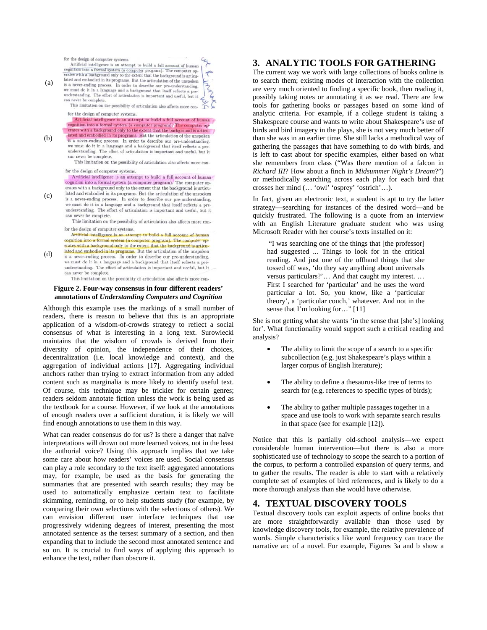for the design of computer systems.

Artificial intelligence is an attempt to build a full account of human cognition into a formal system (a computer program). The computer operators with a background only to the extent that the background erates with a back

(a)

is a never-ending process. In order to describe our pre-understanding, we must do it in a language and a background that itself reflects a pre-<br>understanding. The effort of articulation is important and useful, but it can never be complete. This limitation on the possibility of articulation also affects more con-

for the design of computer systems. Artificial intelligence is an attempt to build a full account of human

cognition into a formal system (a computer program). The computer operates with a background only to the extent that the background is articu-

lated and embodied in its programs. But the articulation of the unspoken is a never-ending process. In order to describe our pre-understanding, we must do it in a language and a background that itself reflects a pre understanding. The effort of articulation is important and useful, but it

can never be complete. This limitation on the possibility of articulation also affects more con-

for the design of computer systems. Artificial intelligence is an attempt to build a full account of human cognition into a formal system (a computer program). The computer operates with a background only to the extent that the background is articulated and embodied in its programs. But the articulation of the unspoken

is a never-ending process. In order to describe our pre-understanding, we must do it in a language and a background that itself reflects a preunderstanding. The effort of articulation is important and useful, but it can never be complete.

This limitation on the possibility of articulation also affects more confor the design of computer systems.

Artificial intelligence is an attempt to build a full account of human cognition into a formal system (a computer program). The computer operates with a background only to the extent that the background is articulated and embodied in its programs. But the articulation of the unspoken

is a never-ending process. In order to describe our pre-understanding, we must do it in a language and a background that itself reflects a pre understanding. The effort of articulation is important and useful, but it can never be complete. This limitation on the possibility of articulation also affects more con-

#### **Figure 2. Four-way consensus in four different readers' annotations of** *Understanding Computers and Cognition*

Although this example uses the markings of a small number of readers, there is reason to believe that this is an appropriate application of a wisdom-of-crowds strategy to reflect a social consensus of what is interesting in a long text. Surowiecki maintains that the wisdom of crowds is derived from their diversity of opinion, the independence of their choices, decentralization (i.e. local knowledge and context), and the aggregation of individual actions [17]. Aggregating individual anchors rather than trying to extract information from any added content such as marginalia is more likely to identify useful text. Of course, this technique may be trickier for certain genres; readers seldom annotate fiction unless the work is being used as the textbook for a course. However, if we look at the annotations of enough readers over a sufficient duration, it is likely we will find enough annotations to use them in this way.

What can reader consensus do for us? Is there a danger that naïve interpretations will drown out more learned voices, not in the least the authorial voice? Using this approach implies that we take some care about how readers' voices are used. Social consensus can play a role secondary to the text itself: aggregated annotations may, for example, be used as the basis for generating the summaries that are presented with search results; they may be used to automatically emphasize certain text to facilitate skimming, reminding, or to help students study (for example, by comparing their own selections with the selections of others). We can envision different user interface techniques that use progressively widening degrees of interest, presenting the most annotated sentence as the tersest summary of a section, and then expanding that to include the second most annotated sentence and so on. It is crucial to find ways of applying this approach to enhance the text, rather than obscure it.

# **3. ANALYTIC TOOLS FOR GATHERING**

The current way we work with large collections of books online is to search them; existing modes of interaction with the collection are very much oriented to finding a specific book, then reading it, possibly taking notes or annotating it as we read. There are few tools for gathering books or passages based on some kind of analytic criteria. For example, if a college student is taking a Shakespeare course and wants to write about Shakespeare's use of birds and bird imagery in the plays, she is not very much better off than she was in an earlier time. She still lacks a methodical way of gathering the passages that have something to do with birds, and is left to cast about for specific examples, either based on what she remembers from class ("Was there mention of a falcon in *Richard III*? How about a finch in *Midsummer Night's Dream*?") or methodically searching across each play for each bird that crosses her mind (… 'owl' 'osprey' 'ostrich'…).

In fact, given an electronic text, a student is apt to try the latter strategy—searching for instances of the desired word—and be quickly frustrated. The following is a quote from an interview with an English Literature graduate student who was using Microsoft Reader with her course's texts installed on it:

 "I was searching one of the things that [the professor] had suggested ... Things to look for in the critical reading. And just one of the offhand things that she tossed off was, 'do they say anything about universals versus particulars?'… And that caught my interest. … First I searched for 'particular' and he uses the word particular a lot. So, you know, like a 'particular theory', a 'particular couch,' whatever. And not in the sense that I'm looking for…" [11]

She is not getting what she wants 'in the sense that [she's] looking for'. What functionality would support such a critical reading and analysis?

- The ability to limit the scope of a search to a specific subcollection (e.g. just Shakespeare's plays within a larger corpus of English literature);
- The ability to define a thesaurus-like tree of terms to search for (e.g. references to specific types of birds);
- The ability to gather multiple passages together in a space and use tools to work with separate search results in that space (see for example [12]).

Notice that this is partially old-school analysis—we expect considerable human intervention—but there is also a more sophisticated use of technology to scope the search to a portion of the corpus, to perform a controlled expansion of query terms, and to gather the results. The reader is able to start with a relatively complete set of examples of bird references, and is likely to do a more thorough analysis than she would have otherwise.

### **4. TEXTUAL DISCOVERY TOOLS**

Textual discovery tools can exploit aspects of online books that are more straightforwardly available than those used by knowledge discovery tools, for example, the relative prevalence of words. Simple characteristics like word frequency can trace the narrative arc of a novel. For example, Figures 3a and b show a

(b)

(c)

(d)